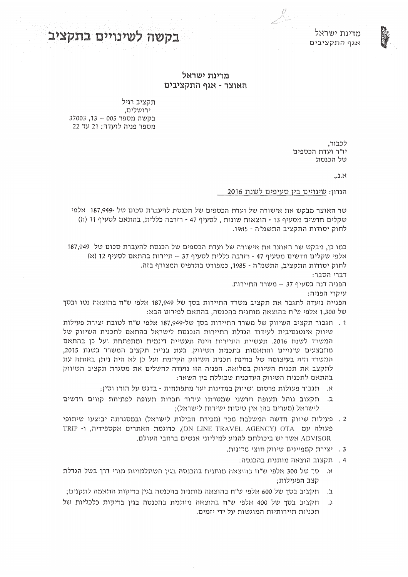#### מדינת ישראל **התקציב התקציב התקציב התקציב התקציב התקציב** התקציב התקציב התקציב התקציב התקציב התקציב התקציב התקציב

#### **מדינת ישראל 52+2=>A. ;,\* ) ?=/\*.**

תקציב רגיל ירושלים, בקשה מספר 005 – 13. 37003 ( מספר פניה לועדה: 21 עד

> לכבוד, יו"ר ועדת הכספים של הכנסת

> > $, 2.8$

הנדון: שינויים בין סעיפים לשנת 2016

 $\mathscr{N}_\mathbb{Z}$ 

שר האוצר מבקש את אישורה של ועדת הכספים של הכנסת להעברת סכום של -187,949 אלפי שקלים חדשים מסעיף 13 - הוצאות שונות , לסעיף 47 - רזרבה כללית, בהתאם לסעיף 11 (ה) לחוק יסודות התקציב התשמ"ה - 1985.

כמו כן, מבקש שר האוצר את אישורה של ועדת הכספים של הכנסת להעברת סכום של 187,949 H אלפי שקלים חדשים מסעיף 47 - רזרבה כללית לסעיף 73 – תיירות בהתאם לסעיף 12 (א) לחוק יסודות התקציב, התשמ"ה - 1985, כמפורט בתדפיס המצורף בזה.

דברי הסבר:

הפניה דנה בסעיף 37 – משרד התיירות.

עיקרי הפניה:

הפנייה נועדה לתגבר את תקציב משרד התיירות בסך של 187,949 אלפי ש״ח בהוצאה נטו ובסך של 1,300 אלפי ש״ח בהוצאה מותנית בהכנסה, בהתאם לפירוט הבא:

- 1. תגבור תקציב השיווק של משרד התיירות בסך של-187,949 אלפי ש"ח לטובת יצירת פעילות שיווק אינטנסיבית לעידוד הגדלת התיירות הנכנסת לישראל בהתאם לתכנית השיווק של המשרד לשנת 2016. תעשיית התיירות הינה תעשייה דינמית ומתפתחת ועל כן בהתאם מתבצעים שינויים והתאמות בתכנית השיווק. בעת בניית תקציב המשרד בשנת 2015, המשרד היה בעיצומה של בחינת תכנית השיווק הקיימת ועל כן לא היה ניתן באותה עת לתקצב את תכנית השיווק במלואה. הפניה הזו נועדה להשלים את מסגרת תקציב השיווק בהחאם לחכנית השיווק העדכנית שכוללת בין השאר:
	- א. תגבור פעולות פרסום ושיווק במדינות יעד מתפתחות בדגש על הודו וסין:
- ב. תקצוב נוהל תעופה חדשני שמטרתו עידוד חברות תעופה לפתיחת קווים חדשים ;לישראל (מערים בהן אין טיסות ישירות לישראל)
- . פעילות שיווק חדשה המשלבת מכר (מכירת חבילות לישראל) ובמסגרתה יבוצעו שיתופי PRIP - מעולה עם ON LINE TRAVEL AGENCY) OTA בעולה עם ADVISOR אשר יש ביכולתם להגיע למיליוני אנשים ברחבי העולם.
	- . יצירת קמפיינים שיווק חוצי מדינות.
		- 0 תקצוב הוצאה מותנית בהכנסה:
- א. סך של 300 אלפי ש"ח בהוצאה מותנית בהכנסה בגין השתלמויות מורי דרך בשל הגדלת קצב הפעילות;
- ב. תקצוב בסך של 600 אלפי ש"ח בהוצאה מותנית בהכנסה בגין בדיקות התאמה לתקנים;
- ג. תקצוב בסך של 400 אלפי ש"ח בהוצאה מותנית בהכנסה בגין בדיקות כלכליות של תכניות תיירותיות המוגשות על ידי יזמים.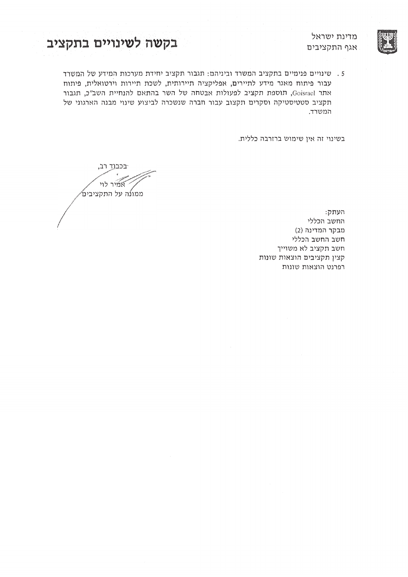

מדינת ישראל

**+2=>A+ 522/82@4 .@>+** VRJR^\_bM \KI

. שינויים פנימיים בתקציב המשרד וביניהם: תגבור תקציב יחידת מערכות המידע של המשרד עבור פיתוח מאגר מידע לתיירים, אפליקציה תיירותית, לשכת תיירות וירטואלית, פיתוח אתר Goisrael, תוספת תקציב לפעולות אבטחה של השר בהתאם להנחיית השב"כ, תגבור תקציב סטטיסטיקה וסקרים תקצוב עבור חברה שנשכרה לביצוע שינוי מבנה הארגוני של המשרד.

בשינוי זה אין שימוש ברזרבה כללית.

בכבוד רב, אמיר לוי ממונה על התקציבים⁄

 $\n :$ העתק החשב הכללי (2) מבקר המדינה חשב החשב הכללי חשב תקציב לא משוייך קצין תקציבים הוצאות שונות רפרנט הוצאות שונות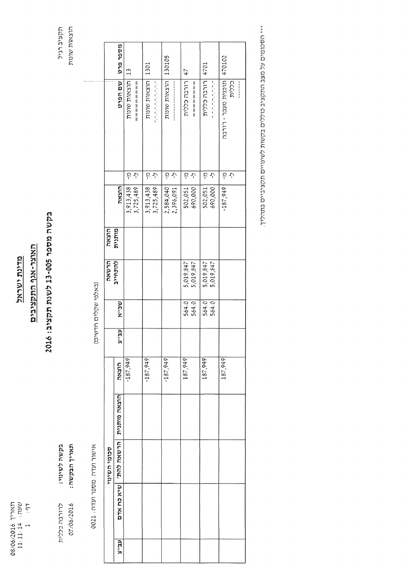TRE<br>TRE 08/06/2016 0M[a f $11:11:14$  $\frac{1}{1}$  :  $\frac{1}{1}$ 

**A82-6 4\*?@2**

### **;,\*)?=/\*.** התקציבים<br>הת

### **.**<br>አስ **?<96 # ) "" A8@4 &+2=>A**  $2016$

JR^\_b  $\zeta$ הוצאות<br>ה w<br>Artis

> `NaRI  $\frac{1}{2}$ Laas<br>J  $0021$  : תעדה

r<br>Edau

TXL.J

no<br>1

0RNYRaU

MJ`O`U

07/06/2016

כללו

 $(N_1, N_2)$ שקלים חדשים)

|          | סכומי השינוי            |              |            |               |       | ヒメシレビ     | הוצאה  |            |        |                      |          |
|----------|-------------------------|--------------|------------|---------------|-------|-----------|--------|------------|--------|----------------------|----------|
| ה<br>הלי | הרשאת להת'   שיא כח אדם | הוצאה מותנית | הוצאה      | $\frac{1}{2}$ | ACIN  | ולהתחייב  | מותנית | הוצאה      |        | שם הפרט              | מספר פרט |
|          |                         |              | $-187,949$ |               |       |           |        | 3,913,438  | ج<br>آ | הוצאות שונות         | 13       |
|          |                         |              |            |               |       |           |        | 3,725,489  | ふ      | =========            |          |
|          |                         |              | $-187,949$ |               |       |           |        | 3,913,438  | ج<br>آ | הוצאות שונות         | 1301     |
|          |                         |              |            |               |       |           |        | 3,725,489  | Ļ      | しょうしんしん しんしん         |          |
|          |                         |              | $-187,949$ |               |       |           |        | 2,584,040  | ċ      | 20105   הוצאות שונות |          |
|          |                         |              |            |               |       |           |        | 2,396,091  | Ļ      |                      |          |
|          |                         |              | 187,949    |               | 564.0 | 5,019,847 |        | 502,051    | ć      | רזרבה כללית          | 47       |
|          |                         |              |            |               | 564.0 | 5,019,847 |        | 690,000    | ふ      | ___________          |          |
|          |                         |              | 187,949    |               | 564.0 | 5,019,847 |        | 502,051    | ć      | רזרבה כללית          | 4701     |
|          |                         |              |            |               | 564.0 | 5,019,847 |        | 690,000    | Ļ,     | 电电动电阻 机机构            |          |
|          |                         |              | 187,949    |               |       |           |        | $-187,949$ | ج<br>أ | תוכנית מעבר - רזרבה  | 470102   |
|          |                         |              |            |               |       |           |        |            | Ļ      | כלית                 |          |
|          |                         |              |            |               |       |           |        |            |        | <b>A A H H H H H</b> |          |

יסכומים<br>י  $\lesssim$ J^W התקציב<br>— כוללים bNa\_J ςαια TRRECCO Eurk,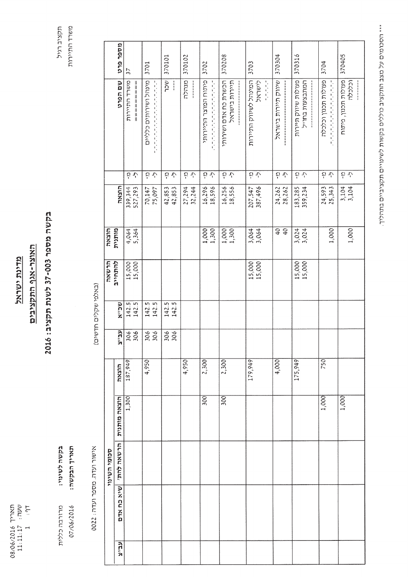$\begin{array}{rl} 11:11:11 \ 1 & 1 & 1 \ 1 & 1 & 1 \ 1 & 1 & 1 \end{array}$ 

מדינת ישראל

## האוצר-אגף התקציבים

# בקשה מספר 200-73 לשנת תקציב: 2016

משרד התיירות תקציב רגיל

אישור ועדה. מספר ועדה: 2022

בקשה לשינוי: תאריך הבקשה:

מרזרבה כללית 07/06/2016 (באלפי שקלים חדשים)

|              | מספר פרט          |                    |                                   |                  |                  |                                                |                                       |                                          |                     |                                        |                                            |                               |
|--------------|-------------------|--------------------|-----------------------------------|------------------|------------------|------------------------------------------------|---------------------------------------|------------------------------------------|---------------------|----------------------------------------|--------------------------------------------|-------------------------------|
|              |                   | 37                 | 3701                              | 370101           | 370102           | 3702                                           | 370208                                | 3703                                     | 370304              | 370316                                 | 3704                                       | 370405                        |
|              | שם הפרט           | משרד התירות        | מינהל ושירותים כלליים<br>しししょうししじ | ACL<br>j         | מנהלה            | פיתוח המוצר התיירותי<br>化正式压力 化正式压力 医抗原性的 医后后的 | תיירות בישראל<br>הכשרת כח אדם ושירותי | המינהל לשיווק התיירות<br>ISCALXS<br>人名尼亚 | שיווק תיירות בישראל | פעולות שיווק תיירות<br>המתבצעות בחוייל | פעולות תכנון וכלכלה<br>化正式电压 化电压电压电压电压电压电压 | פעולות תכנון, פיתוח<br>וכלכלה |
|              |                   | さか                 | ひし                                | さか               | とし               | ひし                                             | ひと                                    | とう                                       | とし                  | $\mathcal{L}$ $\mathcal{L}$            | とし                                         | さか                            |
|              | הנצאה             | 339,344<br>527,293 | 70,147<br>75,097                  | 42,853<br>42,853 | 27,294<br>32,244 | 16,296<br>18,596                               | 16,256<br>18,556                      | 387,496<br>207,547                       | 24,262<br>28,262    | 183,285<br>359,234                     | 24,593<br>25,343                           | 3,104<br>3,104                |
| <b>HXXM</b>  | מותנית            | $4,064$<br>5,364   |                                   |                  |                  | $1,000$<br>$1,300$                             | $1,300$<br>$1,300$                    | 3,064                                    | 940                 | $3,024$<br>$3,024$                     | 1,000                                      | 1,000                         |
| じメラしじ        | להתחייב           | 15,000             |                                   |                  |                  |                                                |                                       | 15,000                                   |                     | 15,000<br>15,000                       |                                            |                               |
|              | שכיא              | 142.5<br>142.5     | 142.5<br>m<br>142.                | 142.5<br>142.5   |                  |                                                |                                       |                                          |                     |                                        |                                            |                               |
|              | ה<br>הליל         | 306<br>306         | 306                               | 306<br>306       |                  |                                                |                                       |                                          |                     |                                        |                                            |                               |
|              | הנצאה             | 187,949            | 4,950                             |                  | 4,950            | 2,300                                          | 2,300                                 | 179,949                                  | 4,000               | 175,949                                | 750                                        |                               |
| סכומי השינוי | הוצאה מותנית      | 1,300              |                                   |                  |                  | 300                                            | 300                                   |                                          |                     |                                        | 1,000                                      | 1,000                         |
|              | הרשאת להתי        |                    |                                   |                  |                  |                                                |                                       |                                          |                     |                                        |                                            |                               |
|              | <b>BTX CO XYU</b> |                    |                                   |                  |                  |                                                |                                       |                                          |                     |                                        |                                            |                               |
|              | ה<br>הולד         |                    |                                   |                  |                  |                                                |                                       |                                          |                     |                                        |                                            |                               |